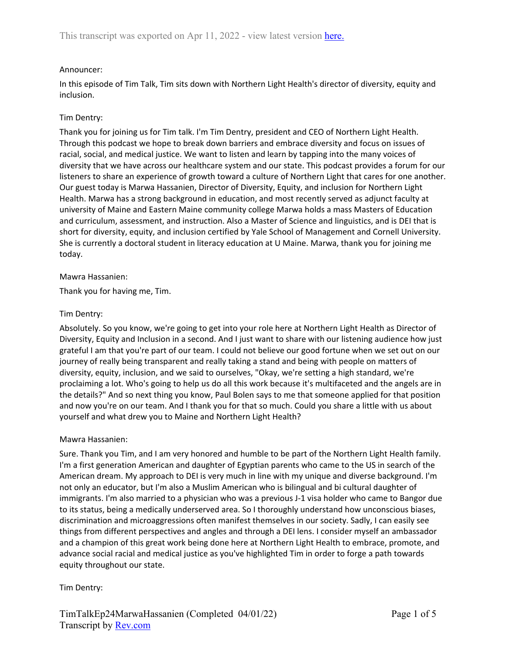# Announcer:

In this episode of Tim Talk, Tim sits down with Northern Light Health's director of diversity, equity and inclusion.

## Tim Dentry:

Thank you for joining us for Tim talk. I'm Tim Dentry, president and CEO of Northern Light Health. Through this podcast we hope to break down barriers and embrace diversity and focus on issues of racial, social, and medical justice. We want to listen and learn by tapping into the many voices of diversity that we have across our healthcare system and our state. This podcast provides a forum for our listeners to share an experience of growth toward a culture of Northern Light that cares for one another. Our guest today is Marwa Hassanien, Director of Diversity, Equity, and inclusion for Northern Light Health. Marwa has a strong background in education, and most recently served as adjunct faculty at university of Maine and Eastern Maine community college Marwa holds a mass Masters of Education and curriculum, assessment, and instruction. Also a Master of Science and linguistics, and is DEI that is short for diversity, equity, and inclusion certified by Yale School of Management and Cornell University. She is currently a doctoral student in literacy education at U Maine. Marwa, thank you for joining me today.

### Mawra Hassanien:

Thank you for having me, Tim.

### Tim Dentry:

Absolutely. So you know, we're going to get into your role here at Northern Light Health as Director of Diversity, Equity and Inclusion in a second. And I just want to share with our listening audience how just grateful I am that you're part of our team. I could not believe our good fortune when we set out on our journey of really being transparent and really taking a stand and being with people on matters of diversity, equity, inclusion, and we said to ourselves, "Okay, we're setting a high standard, we're proclaiming a lot. Who's going to help us do all this work because it's multifaceted and the angels are in the details?" And so next thing you know, Paul Bolen says to me that someone applied for that position and now you're on our team. And I thank you for that so much. Could you share a little with us about yourself and what drew you to Maine and Northern Light Health?

### Mawra Hassanien:

Sure. Thank you Tim, and I am very honored and humble to be part of the Northern Light Health family. I'm a first generation American and daughter of Egyptian parents who came to the US in search of the American dream. My approach to DEI is very much in line with my unique and diverse background. I'm not only an educator, but I'm also a Muslim American who is bilingual and bi cultural daughter of immigrants. I'm also married to a physician who was a previous J-1 visa holder who came to Bangor due to its status, being a medically underserved area. So I thoroughly understand how unconscious biases, discrimination and microaggressions often manifest themselves in our society. Sadly, I can easily see things from different perspectives and angles and through a DEI lens. I consider myself an ambassador and a champion of this great work being done here at Northern Light Health to embrace, promote, and advance social racial and medical justice as you've highlighted Tim in order to forge a path towards equity throughout our state.

# Tim Dentry: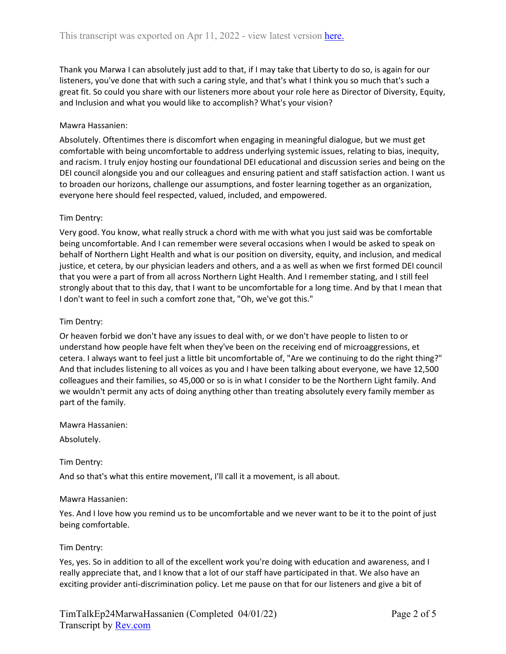Thank you Marwa I can absolutely just add to that, if I may take that Liberty to do so, is again for our listeners, you've done that with such a caring style, and that's what I think you so much that's such a great fit. So could you share with our listeners more about your role here as Director of Diversity, Equity, and Inclusion and what you would like to accomplish? What's your vision?

### Mawra Hassanien:

Absolutely. Oftentimes there is discomfort when engaging in meaningful dialogue, but we must get comfortable with being uncomfortable to address underlying systemic issues, relating to bias, inequity, and racism. I truly enjoy hosting our foundational DEI educational and discussion series and being on the DEI council alongside you and our colleagues and ensuring patient and staff satisfaction action. I want us to broaden our horizons, challenge our assumptions, and foster learning together as an organization, everyone here should feel respected, valued, included, and empowered.

### Tim Dentry:

Very good. You know, what really struck a chord with me with what you just said was be comfortable being uncomfortable. And I can remember were several occasions when I would be asked to speak on behalf of Northern Light Health and what is our position on diversity, equity, and inclusion, and medical justice, et cetera, by our physician leaders and others, and a as well as when we first formed DEI council that you were a part of from all across Northern Light Health. And I remember stating, and I still feel strongly about that to this day, that I want to be uncomfortable for a long time. And by that I mean that I don't want to feel in such a comfort zone that, "Oh, we've got this."

### Tim Dentry:

Or heaven forbid we don't have any issues to deal with, or we don't have people to listen to or understand how people have felt when they've been on the receiving end of microaggressions, et cetera. I always want to feel just a little bit uncomfortable of, "Are we continuing to do the right thing?" And that includes listening to all voices as you and I have been talking about everyone, we have 12,500 colleagues and their families, so 45,000 or so is in what I consider to be the Northern Light family. And we wouldn't permit any acts of doing anything other than treating absolutely every family member as part of the family.

Mawra Hassanien:

Absolutely.

Tim Dentry:

And so that's what this entire movement, I'll call it a movement, is all about.

### Mawra Hassanien:

Yes. And I love how you remind us to be uncomfortable and we never want to be it to the point of just being comfortable.

### Tim Dentry:

Yes, yes. So in addition to all of the excellent work you're doing with education and awareness, and I really appreciate that, and I know that a lot of our staff have participated in that. We also have an exciting provider anti-discrimination policy. Let me pause on that for our listeners and give a bit of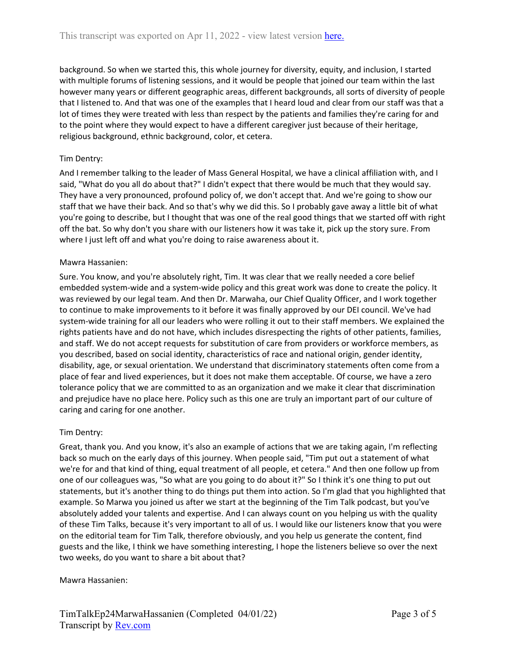background. So when we started this, this whole journey for diversity, equity, and inclusion, I started with multiple forums of listening sessions, and it would be people that joined our team within the last however many years or different geographic areas, different backgrounds, all sorts of diversity of people that I listened to. And that was one of the examples that I heard loud and clear from our staff was that a lot of times they were treated with less than respect by the patients and families they're caring for and to the point where they would expect to have a different caregiver just because of their heritage, religious background, ethnic background, color, et cetera.

# Tim Dentry:

And I remember talking to the leader of Mass General Hospital, we have a clinical affiliation with, and I said, "What do you all do about that?" I didn't expect that there would be much that they would say. They have a very pronounced, profound policy of, we don't accept that. And we're going to show our staff that we have their back. And so that's why we did this. So I probably gave away a little bit of what you're going to describe, but I thought that was one of the real good things that we started off with right off the bat. So why don't you share with our listeners how it was take it, pick up the story sure. From where I just left off and what you're doing to raise awareness about it.

### Mawra Hassanien:

Sure. You know, and you're absolutely right, Tim. It was clear that we really needed a core belief embedded system-wide and a system-wide policy and this great work was done to create the policy. It was reviewed by our legal team. And then Dr. Marwaha, our Chief Quality Officer, and I work together to continue to make improvements to it before it was finally approved by our DEI council. We've had system-wide training for all our leaders who were rolling it out to their staff members. We explained the rights patients have and do not have, which includes disrespecting the rights of other patients, families, and staff. We do not accept requests for substitution of care from providers or workforce members, as you described, based on social identity, characteristics of race and national origin, gender identity, disability, age, or sexual orientation. We understand that discriminatory statements often come from a place of fear and lived experiences, but it does not make them acceptable. Of course, we have a zero tolerance policy that we are committed to as an organization and we make it clear that discrimination and prejudice have no place here. Policy such as this one are truly an important part of our culture of caring and caring for one another.

# Tim Dentry:

Great, thank you. And you know, it's also an example of actions that we are taking again, I'm reflecting back so much on the early days of this journey. When people said, "Tim put out a statement of what we're for and that kind of thing, equal treatment of all people, et cetera." And then one follow up from one of our colleagues was, "So what are you going to do about it?" So I think it's one thing to put out statements, but it's another thing to do things put them into action. So I'm glad that you highlighted that example. So Marwa you joined us after we start at the beginning of the Tim Talk podcast, but you've absolutely added your talents and expertise. And I can always count on you helping us with the quality of these Tim Talks, because it's very important to all of us. I would like our listeners know that you were on the editorial team for Tim Talk, therefore obviously, and you help us generate the content, find guests and the like, I think we have something interesting, I hope the listeners believe so over the next two weeks, do you want to share a bit about that?

### Mawra Hassanien: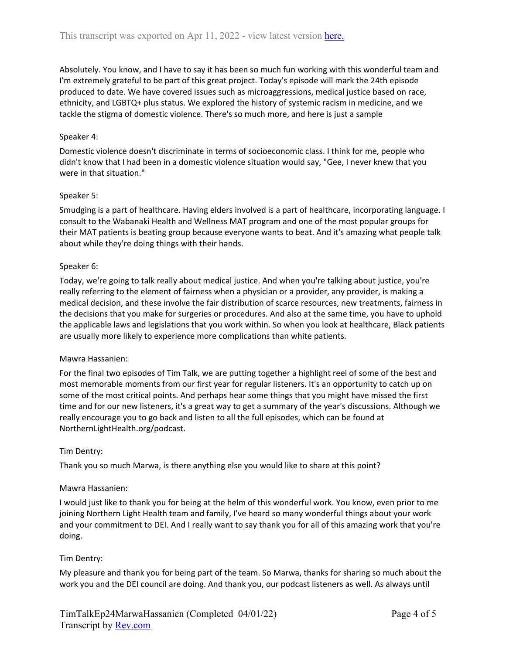Absolutely. You know, and I have to say it has been so much fun working with this wonderful team and I'm extremely grateful to be part of this great project. Today's episode will mark the 24th episode produced to date. We have covered issues such as microaggressions, medical justice based on race, ethnicity, and LGBTQ+ plus status. We explored the history of systemic racism in medicine, and we tackle the stigma of domestic violence. There's so much more, and here is just a sample

### Speaker 4:

Domestic violence doesn't discriminate in terms of socioeconomic class. I think for me, people who didn't know that I had been in a domestic violence situation would say, "Gee, I never knew that you were in that situation."

### Speaker 5:

Smudging is a part of healthcare. Having elders involved is a part of healthcare, incorporating language. I consult to the Wabanaki Health and Wellness MAT program and one of the most popular groups for their MAT patients is beating group because everyone wants to beat. And it's amazing what people talk about while they're doing things with their hands.

### Speaker 6:

Today, we're going to talk really about medical justice. And when you're talking about justice, you're really referring to the element of fairness when a physician or a provider, any provider, is making a medical decision, and these involve the fair distribution of scarce resources, new treatments, fairness in the decisions that you make for surgeries or procedures. And also at the same time, you have to uphold the applicable laws and legislations that you work within. So when you look at healthcare, Black patients are usually more likely to experience more complications than white patients.

# Mawra Hassanien:

For the final two episodes of Tim Talk, we are putting together a highlight reel of some of the best and most memorable moments from our first year for regular listeners. It's an opportunity to catch up on some of the most critical points. And perhaps hear some things that you might have missed the first time and for our new listeners, it's a great way to get a summary of the year's discussions. Although we really encourage you to go back and listen to all the full episodes, which can be found at NorthernLightHealth.org/podcast.

### Tim Dentry:

Thank you so much Marwa, is there anything else you would like to share at this point?

### Mawra Hassanien:

I would just like to thank you for being at the helm of this wonderful work. You know, even prior to me joining Northern Light Health team and family, I've heard so many wonderful things about your work and your commitment to DEI. And I really want to say thank you for all of this amazing work that you're doing.

# Tim Dentry:

My pleasure and thank you for being part of the team. So Marwa, thanks for sharing so much about the work you and the DEI council are doing. And thank you, our podcast listeners as well. As always until